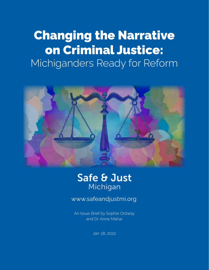# Changing the Narrative on Criminal Justice: Michiganders Ready for Reform



### Safe & Just Michigan

### www.safeandjustmi.org

An Issue Brief by Sophie Ordway and Dr. Anne Mahar

Jan. 18, 2022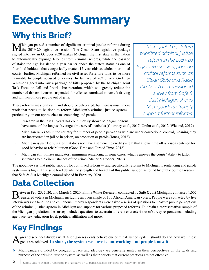# **Executive Summary**

### **Why this Brief?**

Michigan passed a number of significant criminal justice reforms during<br>the 2019-20 legislative session. The Clean Slate legislative package signed into law in October 2020 makes Michigan the first state in the nation to automatically expunge felonies from criminal records, while the passage of Raise the Age legislation a year earlier ended the state's status as one of four final holdouts that categorically treated 17-year-olds as adults in criminal courts. Earlier, Michigan reformed its civil asset forfeiture laws to be more favorable to people accused of crimes. In January of 2021, Gov. Gretchen Whitmer signed into law a package of bills proposed by the Michigan Joint Task Force on Jail and Pretrial Incarceration, which will greatly reduce the number of drivers licenses suspended for offenses unrelated to unsafe driving and will keep more people out of jails.

These reforms are significant, and should be celebrated, but there is much more work that needs to be done to reform Michigan's criminal justice system – particularly on our approaches to sentencing and parole:

*Michigan's Legislature prioritized criminal justice reform in the 2019-20 legislative session, passing critical reforms such as Clean Slate and Raise the Age. A commissioned survey from Safe & Just Michigan shows Michiganders strongly support further reforms.*

- Research in the last 10 years has continuously shown Michigan prisons have some of the longest 'average time served' statistics (Courtney et al., 2017; Urahn et al., 2012; Wieland, 2019).
- Michigan ranks 8th in the country for number of people per-capita who are under correctional control, meaning they are incarcerated in jail or in prison, on probation or parole (Jones, 2018).
- Michigan is just 1 of 6 states that does not have a sentencing credit system that allows time off a prison sentence for good behavior or rehabilitation (Good Time and Earned Time, 2016).
- Michigan still utilizes mandatory minimum sentencing in some cases, which removes the courts' ability to tailor sentences to the circumstances of the crime (Mahar & Cooper, 2020).

The good news is that public support for continued reform *—* and specifically reforms to Michigan's sentencing and parole system — is high. This issue brief details the strength and breadth of this public support as found by public opinion research that Safe & Just Michigan commissioned in February 2020.

### **Data Collection**

Between Feb. 25, 2020, and March 5, 2020, Emma White Research, contracted by Safe & Just Michigan, contacted 1,002<br>
registered voters in Michigan, including an oversample of 100 African American voters. People were contact interviewers via landline and cell phone. Survey respondents were asked a series of questions to measure public perceptions of the criminal justice system in Michigan and support for various proposed reforms. To obtain a representative sample of the Michigan population, the survey included questions to ascertain different characteristics of survey respondents, including age, race, sex, education level, political affiliation and more.

## **Key Findings**

great disconnect divides what Michigan residents believe our criminal justice system should do and how well those goals are achieved. **In short, the system we have is not working and people know it**.

• Michiganders divided by geography, race and ideology are generally united in their perspectives on the goals and purpose of the criminal justice system, as well as their beliefs that current practices are not effective.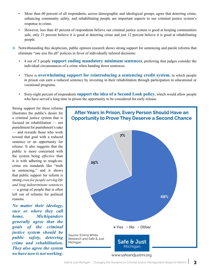- More than 60 percent of all respondents, across demographic and ideological groups, agree that deterring crime, enhancing community safety, and rehabilitating people are important aspects to our criminal justice system's response to crime.
- However, less than 45 percent of respondents believe our criminal justice system is good at keeping communities safe, only 21 percent believe it is good at deterring crime and just 12 percent believe it is good at rehabilitating people.
- Notwithstanding this skepticism, public opinion research shows strong support for sentencing and parole reforms that eliminate "one size fits all" policies in favor of individually tailored decisions:
	- 4 out of 5 people **support ending mandatory minimum sentences**, preferring that judges consider the individual circumstances of a crime when handing down sentences.
	- There is **overwhelming support for reintroducing a sentencing credit system**, in which people in prison can earn a reduced sentence by investing in their rehabilitation through participation in educational or vocational programs.
	- Sixty-eight percent of respondents **support the idea of a Second Look policy**, which would allow people who have served a long time in prison the opportunity to be considered for early release.

Strong support for these reforms illustrates the public's desire for a criminal justice system that is focused on rehabilitation — not punishment for punishment's sake — and rewards those who work toward that goal with a reduced sentence or an opportunity for release. It also suggests that the public is more concerned with the system being *effective* than it is with adhering to tough-oncrime era standards like "truth in sentencing," and it shows that public support for reform is strong *even for people serving life and long indeterminate sentences* — a group of people that is often left out of reforms for political reasons.

*No matter their ideology, race or where they call home, Michiganders generally agree that the goals of the criminal justice system should be public safety, deterring crime and rehabilitation. They also agree the system we have now is not working.*

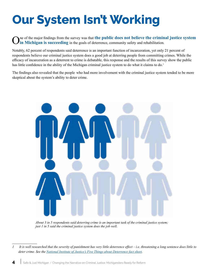# **Our System Isn't Working**

ne of the major findings from the survey was that **the public does not believe the criminal justice system** in Michigan is succeeding in the goals of deterrence, community safety and rehabilitation.

Notably, 62 percent of respondents said deterrence is an important function of incarceration, yet only 21 percent of respondents believe our criminal justice system does a good job at deterring people from committing crimes. While the efficacy of incarceration as a deterrent to crime is debatable, this response and the results of this survey show the public has little confidence in the ability of the Michigan criminal justice system to do what it claims to do.<sup>1</sup>

The findings also revealed that the people who had more involvement with the criminal justice system tended to be more skeptical about the system's ability to deter crime.



*About 3 in 5 respondents said deterring crime is an important task of the criminal justice system; just 1 in 5 said the criminal justice system does the job well.*

*<sup>1</sup> It is well researched that the severity of punishment has very little deterrence effect – i.e. threatening a long sentence does little to deter crime. See the [National Institute of Justice's Five Things about Deterrence fact sheet.](https://www.ojp.gov/pdffiles1/nij/247350.pdf)*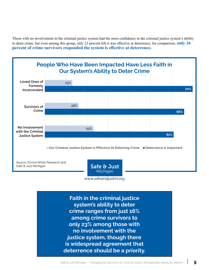Those with no involvement in the criminal justice system had the most confidence in the criminal justice system's ability to deter crime, but even among this group, only 23 percent felt it was effective at deterrence; for comparison, **only 16 percent of crime survivors responded the system is effective at deterrence.**



www.safeandjustmi.org

**Faith in the criminal justice system's ability to deter crime ranges from just 16% among crime survivors to only 23% among those with no involvement with the justice system, though there is widespread agreement that deterrence should be a priority.**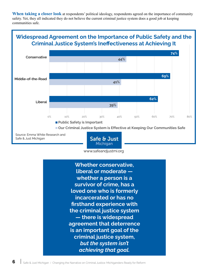**When taking a closer look** at respondents' political ideology, respondents agreed on the importance of community safety. Yet, they all indicated they do not believe the current criminal justice system does a good job at keeping communities safe.



Safe & Just Michigan

www.safeandjustmi.org

**Whether conservative, liberal or moderate whether a person is a survivor of crime, has a loved one who is formerly incarcerated or has no firsthand experience with the criminal justice system — there is widespread agreement that deterrence is an important goal of the criminal justice system,**  *but the system isn't achieving that goal.*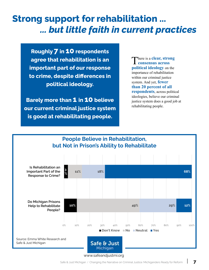# **Strong support for rehabilitation ...**  *... but little faith in current practices*

**Roughly 7 in 10 respondents agree that rehabilitation is an important part of our response to crime, despite differences in political ideology.**

**Barely more than 1 in 10 believe our current criminal justice system is good at rehabilitating people.**

There is a **clear, strong consensus across political ideology** on the importance of rehabilitation within our criminal justice system. And yet, **fewer than 20 percent of all respondents**, across political ideologies, believe our criminal

justice system does a good job at

rehabilitating people.

#### **People Believe in Rehabilitation, but Not in Prison's Ability to Rehabilitate**

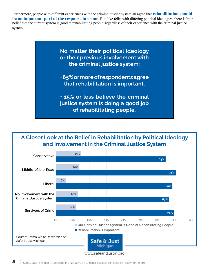Furthermore, people with different experiences with the criminal justice system all agree that **rehabilitation should be an important part of the response to crime**. But, like folks with differing political ideologies, there is little belief that the current system is good at rehabilitating people, regardless of their experience with the criminal justice system.

> **No matter their political ideology or their previous involvement with the criminal justice system:**

> **• 65% or more of respondents agree that rehabilitation is important.**

**• 15% or less believe the criminal justice system is doing a good job of rehabilitating people.**

#### **A Closer Look at the Belief in Rehabilitation by Political Ideology and Involvement in the Criminal Justice System**

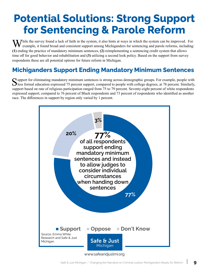# **Potential Solutions: Strong Support for Sentencing & Parole Reform**

 $M$  hile the survey found a lack of faith in the system, it also hints at ways in which the system can be improved. For example, it found broad and consistent support among Michiganders for sentencing and parole reforms, including: **(1)** ending the practice of mandatory minimum sentences, **(2)** reimplementing a sentencing credit system that allows time off for good behavior and rehabilitation and **(3)** utilizing a second look policy. Based on the support from survey respondents these are all potential options for future reform in Michigan.

### **Michiganders Support Ending Mandatory Minimum Sentences**

Support for eliminating mandatory minimum sentences is strong across demographic groups. For example, people with<br>Sless formal education expressed 75 percent support, compared to people with college degrees, at 78 percent. support based on rate of religious participation ranged from 75 to 79 percent. Seventy-eight percent of white respondents expressed support, compared to 76 percent of Black respondents and 73 percent of respondents who identified as another race. The differences in support by region only varied by 1 percent.



www.safeandjustmi.org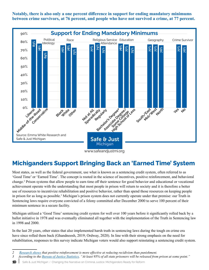**Notably, there is also only a one percent difference in support for ending mandatory minimums between crime survivors, at 76 percent, and people who have not survived a crime, at 77 percent.**



www.safeandjustmi.org

### **Michiganders Support Bringing Back an 'Earned Time' System**

Most states, as well as the federal government, use what is known as a sentencing credit system, often referred to as 'Good Time' or 'Earned Time'. The concept is rooted in the science of incentives, positive reinforcement, and behavioral change.2 Prison systems that allow people to earn time off their sentence for good behavior and educational or vocational achievement operate with the understanding that most people in prison will return to society and it is therefore a better use of resources to incentivize rehabilitation and positive behavior, rather than spend those resources on keeping people in prison for as long as possible.<sup>3</sup> Michigan's prison system does not currently operate under that premise: our Truth in Sentencing laws require everyone convicted of a felony committed after December 2000 to serve 100 percent of their minimum sentence in a secure facility.

Michigan utilized a 'Good Time' sentencing credit system for well over 100 years before it significantly rolled back by a ballot initiative in 1978 and was eventually eliminated all together with the implementation of the Truth in Sentencing law in 1998 and 2000.

In the last 20 years, other states that also implemented harsh truth in sentencing laws during the tough on crime era have since rolled them back (Ghandnoosh, 2019; Ordway, 2020). In line with their strong emphasis on the need for rehabilitation, responses to this survey indicate Michigan voters would also support reinstating a sentencing credit system.

*<sup>2</sup> [Research shows](https://static.prisonpolicy.org/scans/nic/023358.pdf) that positive reinforcement is more effective at reducing recidivism than punishment.* 

*<sup>3</sup> According to the [Bureau of Justice Statistics](https://www.bjs.gov/content/reentry/reentry.cfm#:~:text=At least 95%25 of all,be released to parole supervision.), "At least 95% of all state prisoners will be released from prison at some point."*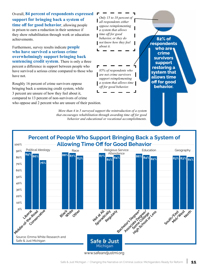Overall, **84 percent of respondents expressed support for bringing back a system of time off for good behavior**, allowing people in prison to earn a reduction in their sentence if they show rehabilitation through work or education achievements.

Furthermore, survey results indicate **people who have survived a serious crime overwhelmingly support bringing back sentencing credit system**. There is only a three percent a difference in support between people who have survived a serious crime compared to those who have not.

Roughly 16 percent of crime survivors oppose bringing back a sentencing credit system, while 3 percent are unsure of how they feel about it, compared to 13 percent of non-survivors of crime who oppose and 2 percent who are unsure of their position.

*Only 15 to 18 percent of all respondents either oppose reimplementing a system that allows time off for good behavior, or they do not know how they feel about it. 85% of respondents who are not crime survivors support reimplementing a system that allows time off for good behavior.*

**82% of respondents who are crime survivors support restoring a system that allows time off for good behavior.** 

*More than 4 in 5 surveyed support the reintroduction of a system that encourages rehabilitation through awarding time off for good behavior and educational or vocational accomplishments.*

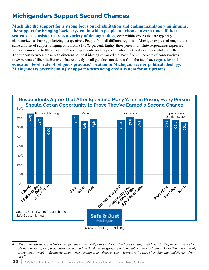### **Michiganders Support Second Chances**

**Much like the support for a strong focus on rehabilitation and ending mandatory minimums, the support for bringing back a system in which people in prison can earn time off their sentence is consistent across a variety of demographics**, even within groups that are typically characterized as having polarizing perspectives. People from all different regions of Michigan expressed roughly the same amount of support, ranging only from 81 to 83 percent. Eighty-three percent of white respondents expressed support, compared to 88 percent of Black respondents, and 87 percent who identified as neither white nor Black. The support between those with different political ideologies varied the most, from 76 percent of conservatives to 89 percent of liberals. But even that relatively small gap does not detract from the fact that, **regardless of**  education level, rate of religious practice,<sup>4</sup> location in Michigan, race or political ideology, **Michiganders overwhelmingly support a sentencing credit system for our prisons.** 

#### **80% Respondents Agree That After Spending Many Years in Prison, Every Person Should Get an Opportunity to Prove They've Earned a Second Chance**



www.safeandjustmi.org

*<sup>4</sup> The survey asked respondents how often they attend religious services, aside from weddings and funerals. Respondents were given six options to respond, which were condensed into the three categories seen in the table above as follows: More than once a week, About once a week = Regularly; About once a month, A few times a year = Sporadically; Less often than that, and Never = Not at all.*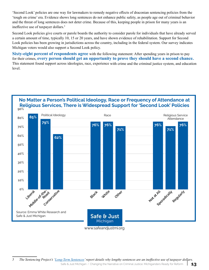'Second Look' policies are one way for lawmakers to remedy negative effects of draconian sentencing policies from the 'tough on crime' era. Evidence shows long sentences do not enhance public safety, as people age out of criminal behavior and the threat of long sentences does not deter crime. Because of this, keeping people in prison for many years is an ineffective use of taxpayer dollars.<sup>5</sup>

Second Look policies give courts or parole boards the authority to consider parole for individuals that have already served a certain amount of time, typically 10, 15 or 20 years, and have shown evidence of rehabilitation. Support for Second Look policies has been growing in jurisdictions across the country, including in the federal system. Our survey indicates Michigan voters would also support a Second Look policy.

**Sixty-eight percent of respondents agree** with the following statement: After spending years in prison to pay for their crimes, **every person should get an opportunity to prove they should have a second chance.**  This statement found support across ideologies, race, experience with crime and the criminal justice system, and education level.

#### **90% No Matter a Person's Political Ideology, Race or Frequency of Attendance at Religious Services, There is Widespread Support for 'Second Look' Policies**

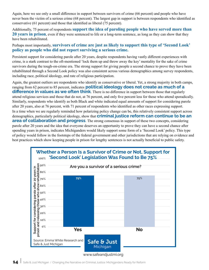Again, here we see only a small difference in support between survivors of crime (66 percent) and people who have never been the victim of a serious crime (68 percent). The largest gap in support is between respondents who identified as conservative (61 percent) and those that identified as liberal (75 percent).

Additionally, 75 percent of respondents **support the idea of paroling people who have served more than 20 years in prison**, even if they were sentenced to life or a long-term sentence, as long as they can show that they have been rehabilitated.

#### Perhaps most importantly, **survivors of crime are just as likely to support this type of 'Second Look' policy as people who did not report surviving a serious crime.**

Persistent support for considering parole after 20 years, despite respondents having vastly different experiences with crime, is a stark contrast to the oft-mentioned 'lock them up and throw away the key' mentality for the sake of crime survivors during the tough-on-crime era. The strong support for giving people a second chance to prove they have been rehabilitated through a Second Look policy was also consistent across various demographics among survey respondents, including race, political ideology, and rate of religious participation.

Again, the greatest outliers are respondents who identify as conservative or liberal. Yet, a strong majority in both camps, ranging from 62 percent to 85 percent, indicates **political ideology does not create as much of a difference in values as we often think**. There is no difference in support between those that regularly attend religious services and those that do not, at 76 percent, and only five percent less for those who attend sporadically. Similarly, respondents who identify as both Black and white indicated equal amounts of support for considering parole after 20 years, also at 76 percent, with 71 percent of respondents who identified as other races expressing support. In a time when we are regularly reminded how polarizing policy change can be, this relatively consistent support across demographics, particularly political ideology, show that **criminal justice reform can continue to be an area of collaboration and progress**. The strong consensus in support of these two concepts, considering parole after 20 years and the idea that everyone deserves an opportunity to prove they can have a second chance after spending years in prison, indicates Michiganders would likely support some form of a 'Second Look' policy. This type of policy would follow in the footsteps of the federal government and other jurisdictions that are relying on evidence and best practices which show keeping people in prison for lengthy sentences is not actually beneficial to public safety.

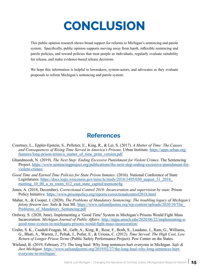# **CONCLUSION**

This public opinion research shows broad support for reforms to Michigan's sentencing and parole system. Specifically, public opinion supports moving away from harsh, inflexible sentencing and parole policies, and toward policies that treat people as individuals, regularly evaluate suitability for release, and make evidence-based release decisions.

We hope this information is helpful to lawmakers, system-actors, and advocates as they evaluate proposals to reform Michigan's sentencing and parole system.

### **References**

- Courtney, L., Eppler-Epstein, S., Pelletier, E., King, R., & Lei, S. (2017). *A Matter of Time: The Causes and Consequences of Rising Time Served in America's Prisons*. Urban Institute. [https://apps.urban.org/](https://apps.urban.org/features/long-prison-terms/a_matter_of_time_print_version.pdf) [features/long-prison-terms/a\\_matter\\_of\\_time\\_print\\_version.pdf](https://apps.urban.org/features/long-prison-terms/a_matter_of_time_print_version.pdf)
- Ghandnoosh, N. (2019). *The Next Step: Ending Excessive Punishment for Violent Crimes*. The Sentencing Project. [https://www.sentencingproject.org/publications/the-next-step-ending-excessive-punishment-for](https://www.sentencingproject.org/publications/the-next-step-ending-excessive-punishment-for-violent)[violent-crimes/](https://www.sentencingproject.org/publications/the-next-step-ending-excessive-punishment-for-violent)
- *Good Time and Earned Time Policies for State Prison Inmates*. (2016). National Conference of State Legislatures. [https://docs.legis.wisconsin.gov/misc/lc/study/2016/1495/030\\_august\\_31\\_2016\\_](https://docs.legis.wisconsin.gov/misc/lc/study/2016/1495/030_august_31_2016_meeting_10_00_a_m_room_4) meeting 10\_00\_a\_m\_room\_412\_east\_state\_capitol/memono4g
- Jones, A. (2018, December). *Correctional Control 2018: Incarceration and supervision by state*. Prison Policy Initiative.<https://www.prisonpolicy.org/reports/correctionalcontrol2018.html>
- Mahar, A., & Cooper, J. (2020). *The Problems of Mandatory Sentencing: The troubling legacy of Michigan's felony firearm law.* Safe & Just MI. https://www.safeandjustmi.org/wp-content/uploads/2020/10/The Problems of Mandatory Sentencing.pdf
- Ordway, S. (2020, June). Implementing a 'Good Time' System in Michigan's Prisons Would Fight Mass Incarceration. *Michigan Journal of Public Affairs*. [http://mjpa.umich.edu/2020/06/22/implementing-a](http://mjpa.umich.edu/2020/06/22/implementing-a-good-time-system-in-michigans-prisons-would-fight-mass-incarceration/
)[good-time-system-in-michigans-prisons-would-fight-mass-incarceration/](http://mjpa.umich.edu/2020/06/22/implementing-a-good-time-system-in-michigans-prisons-would-fight-mass-incarceration/
)
- Urahn, S. K., Caudell-Feagan, M., Gelb, A., King, R., Rose, F., Bosh, S., Laudano, J., Ram, G., Williams, G., Bhati, A., Warren, J., Peltak, J., Potler, E., & Uriona, C. (2012). *Time Served: The High Cost, Low Return of Longer Prison Terms* (Public Safety Performance Project). Pew Center on the States.
- Wieland, B. (2019, February 27). The long haul: Why long sentences hurt everyone in Michigan. *Safe & Just Michigan*. https://www.safeandjustmi.org/2019/02/27/the-long-haul-why-long-sentences-hurteveryone-in-michigan/